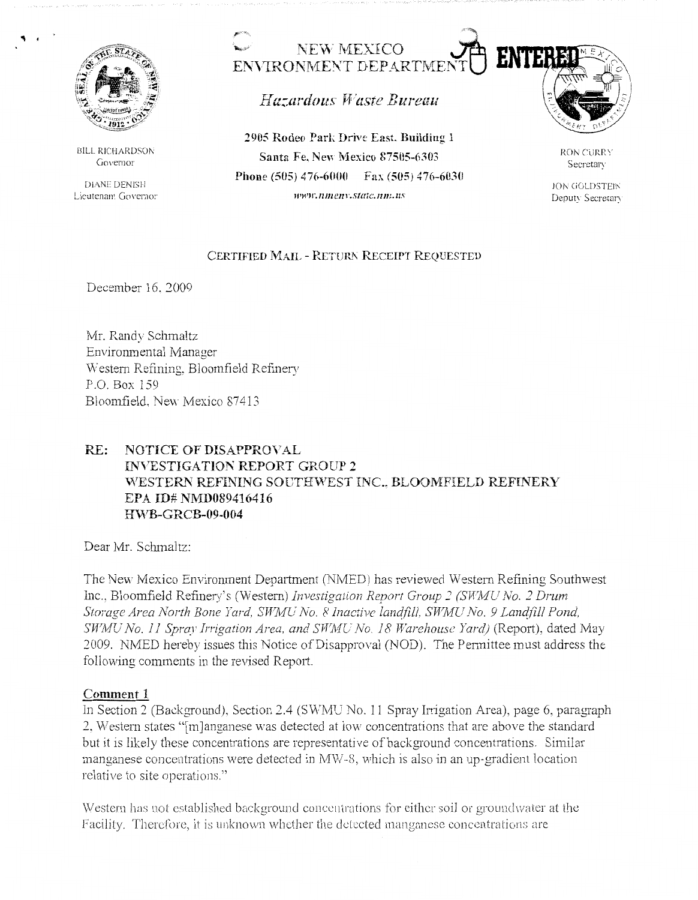

"' .

BILL RICHARDSON **Governor** 

DIANE DENISH Lieutenant Govemo:·



Hazardous Waste Bureau

**2905 Rodeo Park Drive East. Building 1 Santa Fe. New Mexico 87505-6303 Phone (505) 476-6000 Fax (505) 476-6030**  *ww,r.nmenl'.Statc.nm.us* 



RON CURRY Secretary

.ION GOLDSTEIN Deputy Secretary

## **CERTIFIED MAIL** - **RETURT\ RECEIPT REQUESTED**

December 16. 2009

Mr. Randy Schmaltz Enviromnental Manager \Vestem Refining, Bloomfield Refinery P.O. Box 159 Bloomfield. New Mexico 87413

## **RE: NOTICE OF DISAPPROVAL INVESTIGATION REPORT GROUP 2** WESTERN REFINING SOUTHWEST INC., BLOOMFIELD REFINERY **EPA ID# NMD089416416 ffWB-GRCB-09-004**

Dear Mr. Schmaltz:

The New Mexico Environment Department (NMED) has reviewed Western Refining Southwest Inc., Bloomfield Refinery's (Western) *Investigation Report Group:; (STYMU No. 2 Drum*  Storage Area North Bone Yard, SWMU No. 8 Inactive landfill, SWMU No. 9 Landfill Pond, *SWMU No. 11 Spray Irrigation Area, and SWMU No. 18 Warehouse Yard)* (Report), dated May 2009. NMED hereby issues this Notice of Disapproval (NOD). The Pennittee must address the following comments in the revised Report.

## **Comment** 1

In Section 2 (Background), Section 2.4 (SWMU No. 11 Spray Irrigation Area), page 6, paragraph 2. Western states "[m]anganese was detected at low concentrations that are above the standard but it is likely these concentrations are representative of background concentrations. Similar manganese concentrations were detected in MW-8, which is also in an up-gradient location relative to site operations."

Western has not established background concentrations for either soil or groundwater at the Facility. Therefore, it is unknown whether the detected manganese concentrations are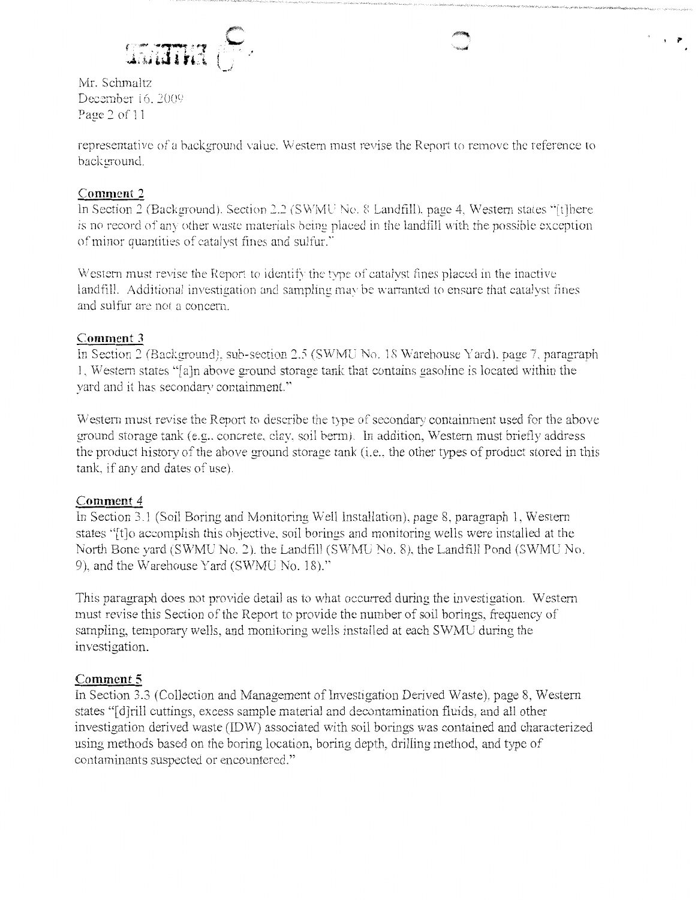

Mr. Schmaltz December 16, 2009 Page *2* of 11

representative of a background value. Western must revise the Report to remove the reference to background.

## **Comment 2**

ln Section 2 (Background). Section 2.2 (SWMU No. 8 Landfill). page 4, Western states "[t]here is no record of any other waste materials being placed in the landfill with the possible exception of minor quantities of catalyst fines and sulfur."

Western must revise the Report to identify the type of catalyst fines placed in the inactive landfill. Additional investigation and sampling may be warranted to ensure that catalyst fines and sulfur are not a concern.

## **Comment 3**

In Section 2 (Background), sub-section 2.5 (SWMU No. 18 Warehouse Yard), page 7, paragraph I. Western states "[ a )n above ground storage tank that contains gasoline is located within the yard and it has secondary containment.''

Western must revise the Report to describe the type of secondary containment used for the above ground storage tank (e.g.. concrete, clay, soil berm). In addition, Western must briefly address the product history of the above ground storage tank (i.e., the other types of product stored in this tank, if any and dates of use).

# **Comment 4**

In Section 3.1 (Soil Boring and Monitoring Well Installation), page 8, paragraph 1, Western states "[t]o accomplish this objective, soil borings and monitoring wells were installed at the North Bone yard (SWMU No. 2). the Landfill (SWMU No. 8), the Landfill Pond (SWMU No. 9), and the Warehouse Yard (SWMU No. 18)."

This paragraph does not provide detail as to what occurred during the investigation. Western must revise this Section of the Report to provide the number of soil borings, frequency of sampling, temporary wells, and monitoring wells installed at each SWMU during the investigation.

# **Comment 5**

In Section 3.3 (Collection and Management of Investigation Derived Waste), page 8, Western states "[d]rill cuttings, excess sample material and decontamination fluids, and all other investigation derived waste (IDW) associated with soil borings was contained and characterized using methods based on the boring location, boring depth, drilling method, and type of contaminants suspected or encountered."

' **p**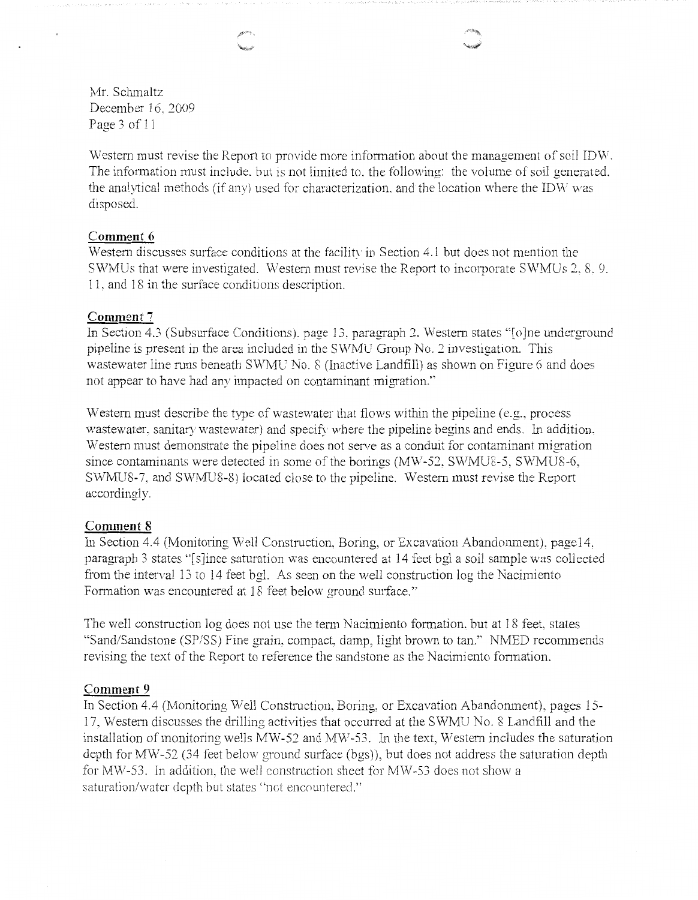Mr. Schmaltz December 16, 2009 Page 3 of 11

Western must revise the Report to provide more information about the management of soil IDW. The information must include, but is not limited to, the following: the volume of soil generated. the analytical methods (if any) used for characterization. and the location where the IDW was disposed.

### **Comment 6**

Western discusses surface conditions at the facility in Section 4.1 but does not mention the SWMUs that were investigated. Western must revise the Report to incorporate SWMUs 2. 8. 9. 11, and 18 in the surface conditions description.

### **Comment 7**

In Section 4.3 (Subsurface Conditions). page 13, paragraph 2. Western states "[o]ne underground pipeline is present in the area included in the SWMU Group No. *2* investigation. This wastewater line runs beneath SWMC No. 8 (Inactive Landfill) as shown on Figure 6 and does not appear to have had any impacted on contaminant migration.''

Western must describe the type of wastewater that flows within the pipeline (e.g., process wastewater. sanitary wastewater) and specify where the pipeline begins and ends. In addition. 'Western must demonstrate the pipeline does not serve as a conduit for contaminant migration since contaminants were detected in some of the borings (MW-52, SWMU8-5, SWMU8-6, SWMUS-7. and SWMU8-8) located close to the pipeline. Western must revise the Report accordingly.

#### **Comment 8**

In Section 4.4 (Monitoring Well Construction, Boring, or Excavation Abandonment), page14, paragraph 3 states "[s]ince saturation was encountered at 14 feet bgl a soil sample was collected from the interval 13 to 14 feet bgl. As seen on the well construction log the Nacimiento Formation was encountered at 18 feet below ground surface."

The well construction log does not use the term Nacimiento formation, but at 18 feet, states "Sand/Sandstone (SP/SS) Fine grain, compact, damp, light brown to tan." NMED recommends revising the text of the Report to reference the sandstone as the Nacimiento formation.

#### **Comment 9**

In Section 4.4 (Monitoring Well Construction, Boring, or Excavation Abandonment), pages 15- 17, Western discusses the drilling activities that occuned at the SWMU No. 8 Landfill and the installation of monitoring wells MV/-52 and MW-53. In the text, Western includes the saturation depth for MW-52 (34 feet below ground surface (bgs)), but does not address the saturation depth for MW-53. In addition, the well construction sheet for MW-53 does not show a saturation/water depth but states "not encountered."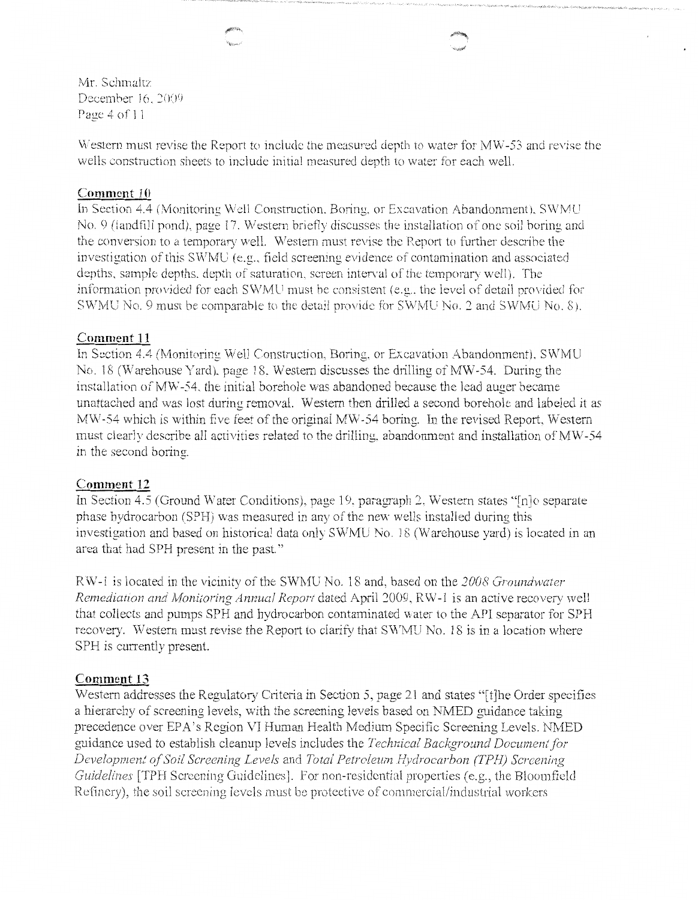Mr. Schmaltz December 16, 2009 Page 4 of 11

Western must revise the Report to include the measured depth to water for MW-53 and revise the wells construction sheets to include initial measured depth to water for each well.

## **Comment 10**

In Section 4.4 (Monitoring Well Construction. Boring. or Excavation Abandonment), SWMU No. 9 (landfill pond), page 17. Western briefly discusses the installation of one soil boring and the conversion to a temporary well. Western must revise the Report to further describe the investigation of this SWMU (e.g., field screening evidence of contamination and associated depths, sample depths. depth of saturation, screen interval of the temporary well). The information provided for each SWMU must be consistent (e.g., the level of detail provided for SWMU No. 9 must be comparable to the detail provide for SWMU No. 2 and SWMU No. 8).

## **Comment 11**

In Section 4.4 (Monitoring Well Construction, Boring, or Excavation Abandonment). SWMU No. 18 (Warehouse Yard), page 18. Western discusses the drilling of MW-54. During the installation of MW-54, the initial borehole was abandoned because the lead auger became unattached and was lost during removal. Western then drilled a second borehole and labeled it as MW-54 which is within five feet of the original MW-54 boring. In the revised Report, Western must clearly describe all activities related to the drilling. abandonment and installation of MW-54 in the second boring.

## **Comment 12**

In Section 4.5 (Ground Water Conditions), page 19, paragraph 2, Western states "[n]o separate phase hydrocarbon (SPH) was measured in any of the new wells installed during this investigation and based on historical data only SWMU No. 18 (Warehouse yard) is located in an area that had SPH present in the past."

RW-1 is located in the vicinity of the SVlMU No. 18 and, based on the *]008 Groundwater Remediation and Monitoring Annual Report* dated April 2009, RW-1 is an active recovery well that collects and pumps SPH and hydrocarbon contaminated water to the API separator for SPH recovery. Western must revise the Report to clarify that SWMU No. 18 is in a location where SPH is currently present.

## **Comment 13**

Western addresses the Regulatory Criteria in Section 5, page 21 and states "[t]he Order specifies a hierarchy of screening levels, with the screening levels based on NMED guidance taking precedence over EPA's Region VI Human Health Medium Specific Screening Levels. NMED guidance used to establish cleanup levels includes the *Technical Background Docwnent.for Development o\_f Soil Screening Levels* and *Total Petroleum Hydrocarbon (TPH) Screening Guidelines* [TPH Screening Guidelines]. For non-residential properties (e.g., the Bloomfield Refinery), the soil screening levels must be protective of commercial/industrial workers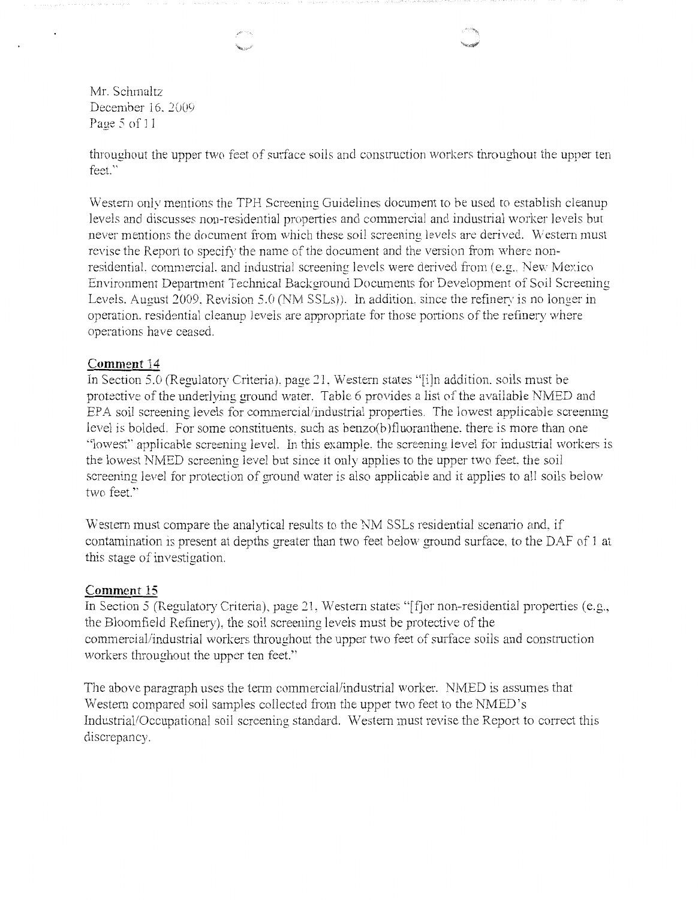Mr. Schmaltz December 16, 2009 Page 5 of 11

throughout the upper two feet of surface soils and construction workers throughout the upper ten feet.''

Western only mentions the TPH Screening Guidelines document to be used to establish cleanup levels and discusses non-residential properties and commercial and industrial worker levels but never mentions the document from which these soil screening levels are derived. Western must revise the Report to specify the name of the document and the version from where nonresidential. commercial. and industrial screening levels were derived from  $(e.g., New Mexico)$ Environment Depariment Technical Background Documents for Development of Soil Screening Levels. August *2009.* Revision 5.0 (NM SSLs)). ln addition. since the refinery is no longer in operation. residential cleanup levels are appropriate for those ponions of the refinery where operations have ceased.

### **Comment 14**

In Section 5.0 (Regulatory Criteria). page *21,* Western states "[i]n addition. soils must be protective of the underlying ground water. Table 6 provides a list of the available NMED and EPA soil screening levels for commercial/industrial properties. The lowest applicable screening level is balded. For some constituents. such as benzo(b )fluoranthene. there is more than one ''lowest'· applicable screening level. In this example. the screening level for industrial workers is the lowest NMED screening level but since it only applies to the upper two feet, the soil screening level for protection of ground water is also applicable and it applies to all soils below two feet.''

Western must compare the analytical results to the NM SSLs residential scenario and. if contamination is present at depths greater than two feet below ground surface, to the DAF of J at this stage of investigation.

### **Comment 15**

In Section 5 (Regulatory Criteria), page 21, Western states "[f]or non-residential properties (e.g., the Bloomfield Refinery), the soil screening levels must be protective of the commercial/industrial workers throughout the upper two feet of surface soils and construction workers throughout the upper ten feet."

The above paragraph uses the term commercial/industrial worker. NMED is assumes that Western compared soil samples collected from the upper two feet to the NMED's Industrial/Occupational soil screening standard. Western must revise the Report to correct this discrepancy.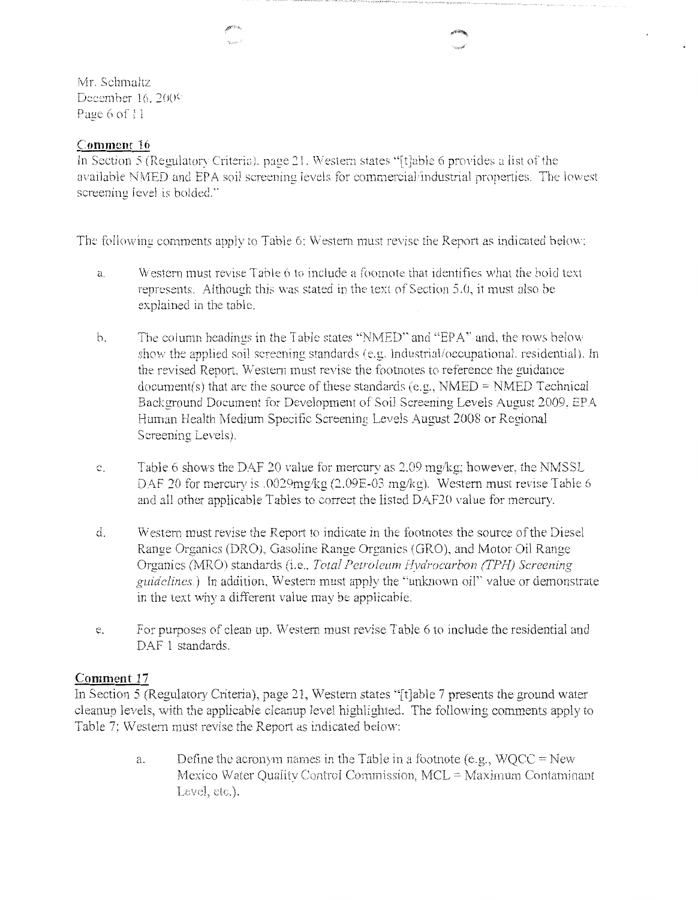Mr. Schmaltz December  $16.2009$ Page 6 of 11

## **Comment 16**

In Section 5 (Regulatory Criteria), page 21. Western states "[t]able 6 provides a list of the available NMED and EPA soil screening levels for commercial/industrial properties. The lowest screening level is bolded.'"

The following comments apply to Table 6: Western must revise tbe Report as indicated below:

- a. Western must revise Table 6 to include a foomote that identifies what the bold text represents. Although this was stated in the text of Section 5.0, it must also be explained in the table.
- b. The column headings in the Table states "NMED" and "EPA'' and. the rows below show the applied soil screening standards (e.g. Industrial/occupational. residential). In the revised Report. Western must revise the footnotes to reference the guidance document(s) that are the source of these standards (e.g.,  $NMED = NMED$  Technical Background Document for Development of Soil Screening Levels August 2009, EPA Human Health Medium Specific Screening Levels August 2008 or Regional Screening Levels).
- c. Table 6 shows the DAF 20 value for mercury as *2.09* mg/kg; however, the NM SSL DAF 20 for mercury is .0029mg/kg (2.09E-03 mg/kg). Western must revise Table 6 and all other applicable Tables to correct the listed DAF20 value for mercury.
- d. V/estern must revise the Report to indicate in the footnotes the source of the Diesel Range Organics (ORO), Gasoline Range Organics (GRO). and Motor Oil Range Organics (MRO) standards (i.e., *Total Petroleum Hydrocarbon (TPH) Screening guidelines.)* In addition, Western must apply the "unknown oil'' value or demonstrate in the text why a different value may be applicable.
- e. For purposes of clean up. Western must revise Table 6 to include the residential and DAF 1 standards.

## **Comment 17**

In Section 5 (Regulatory Criteria), page 21, Western states "[t]able 7 presents the ground water cleanup levels, with the applicable cleanup level highlighted. The following comments apply to Table 7: Western must revise the Report as indicated below:

> a. Define the acronym names in the Table in a footnote (e.g.,  $WOCC = New$ Mexico Water Quality Control Commission, MCL = Maximum Contaminant Level,  $etc.$ ).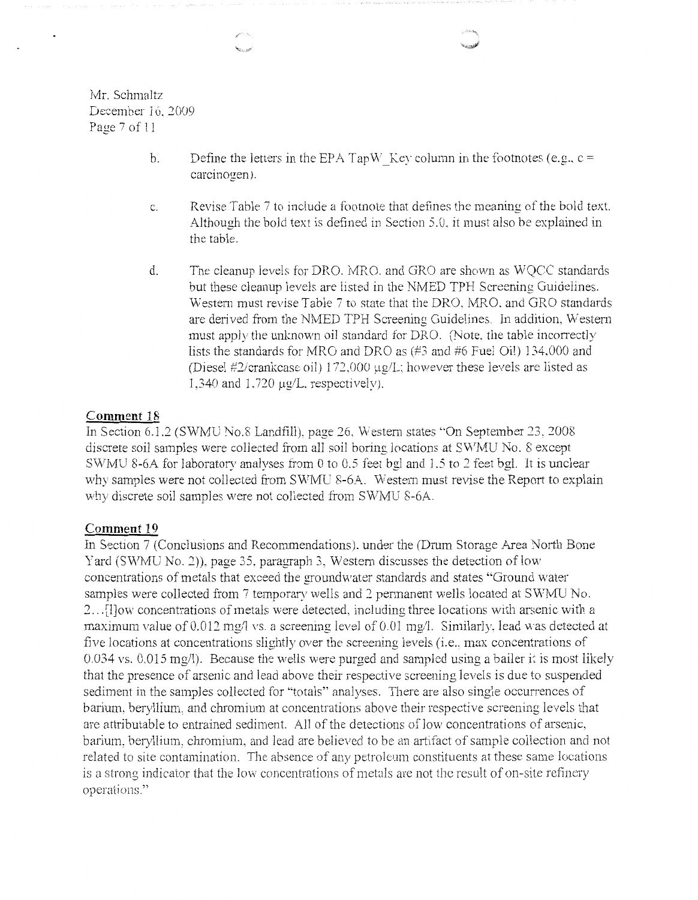Mr. Schmaltz December 16. 2009 Page 7 of 11

- b. Define the letters in the EPA TapW Key column in the footnotes (e.g.,  $c =$ carcinogen).
- c. Revise Table 7 to include a footnote that defines the meaning of the bold text. Although the bold text is defined in Section 5.0, it must also be explained in the table.
- d. The cleanup levels for DRO. MRO. and GRO are shown as WQCC standards but these cleanup levels are listed in the NMED TPH Screening Guidelines. Western must revise Table *7* to state that the DRO. MRO. and GRO standards are derived from the NMED TPH Screening Guidelines. In addition. Western must apply the unknown oil standard for DRO. (Note, the table incorrectly lists the standards for MRO and DRO as (#3 and #6 Fuel Oil) 134.000 and (Diesel  $\#2$ /crankcase oil) 172,000  $\mu$ g/L; however these levels are listed as 1,340 and 1,720 μg/L, respectively).

### **Comment 18**

In Section 6.1.2 (SWMU No.8 Landfill), page 26, Western states "On September 23, 2008 discrete soil samples were collected from all soil boring locations at SWMU No. 8 except SWMU 8-6A for laboratory analyses from 0 to 0.5 feet bgl and 1.5 to 2 feet bgl. It is unclear why samples were not collected from SWMU 8-6A. Western must revise the Report to explain why discrete soil samples were not collected from SWMU 8-6A.

#### **Comment 19**

In Section 7 (Conclusions and Recommendations). under the (Drum Storage Area North Bone Yard (SWMU No. 2)), page 35, paragraph 3, Western discusses the detection of low concentrations of metals that exceed the groundwater standards and states "Ground water samples were collected from 7 temporary wells and 2 permanent wells located at SWMU No. 2 ... [l]ow concentrations of metals were detected. including three locations with arsenic with a maximum value of 0.012 mg/l vs. a screening level of 0.01 mg/l. Similarly, lead was detected at five locations at concentrations slightly over the screening levels (i.e., max concentrations of  $0.034$  vs.  $0.015$  mg/l). Because the wells were purged and sampled using a bailer it is most likely that the presence of arsenic and lead above their respective screening levels is due to suspended sediment in the samples collected for "totals" analyses. There are also single occurrences of barium, beryllium. and chromium at concentrations above their respective screening levels that are attributable to entrained sediment. All of the detections of low concentrations of arsenic, barium, beryllium, chromium, and lead are believed to be an ariifact of sample collection and not related to site contamination. The absence of any petroleum constituents at these same locations is a strong indicator that the low concentrations of metals are not the result of on-site refinery operations."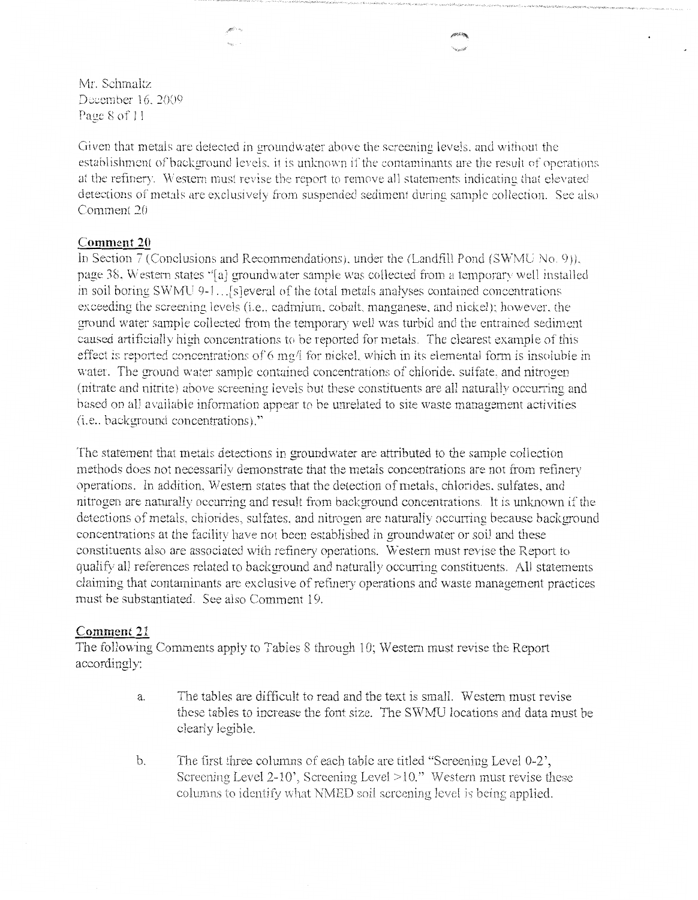Mr. Schmaltz December 16, 2009 Page 8 of 11

Given that metals are detected in groundwater above the screening levels, and without the establishment of background levels, it is unknown if the contaminants are the result of operations at the refinery. Western must revise the report to remove all statements indicating that elevated detections of metals are exclusively from suspended sediment during sample collection. See also Comment 20

## **Comment 20**

In Section 7 (Conclusions and Recommendations), under the (Landfill Pond (SWMU No. 9)). page 38. Western states "[a] groundwater sample was collected from a temporary well installed in soil boring SWMU 9-1 ... [s]everal of the total metals analyses contained concentrations exceeding the screening levels (i.e., cadmium, cobalt, manganese, and nickel); however, the ground water sample collected from the temporary well was turbid and the entrained sediment caused artificially high concentrations to be reported for metals. The clearest example of this effect is reported concentrations of  $6 \text{ mg/l}$  for nickel, which in its elemental form is insoluble in water. The ground water sample contained concentrations of chloride. sulfate. and nitrogen (nitrate and nitrite) above screening levels but these constituents are all naturally occurring and based on all available information appear to be unrelated to site waste management activities (i.e., background concentrations)."

The statement that metals detections in groundwater are attributed to the sample collection methods does not necessarily demonstrate that the metals concentrations are not from refinery operations. ln addition. Western states that the detection of metals, chlorides. sulfates, and nitrogen are naturally occurring and result from background concentrations. It is unknown if the detections of metals, chlorides, sulfates, and nitrogen are naturally occurring because background concentrations at the facility have not been established in groundwater or soil and these constituents also are associated witb refinery operations. Western must revise the Report to qualify all references related to background and naturally occurring constituents. All statements claiming that contaminants are exclusive of refinery operations and waste management practices must be substantiated. See also Comment 19.

#### **Comment 21**

The following Comments apply to Tables 8 through 10; Western must revise the Report accordingly:

- a. The tables are difficult to read and the text is small. Western must revise these tables to increase the font size. The SWMU locations and data must be clearly legible.
- b. The first three columns of each table are titled "Screening Level 0-2', Screening Level 2-10', Screening Level  $>10$ ." Western must revise these columns to identify what NMED soil screening level is being applied.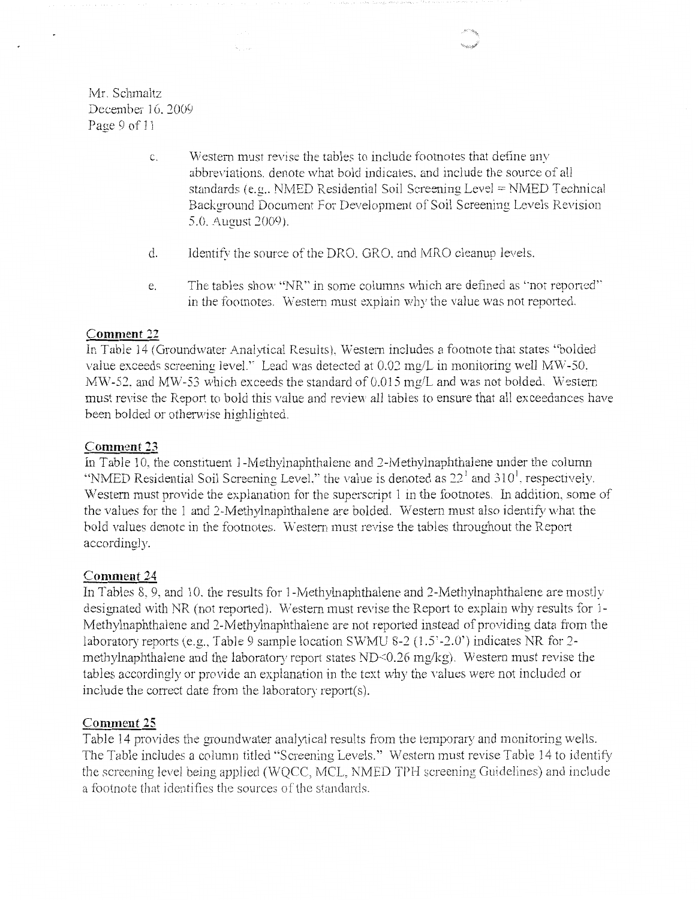Mr. Schmaltz December 16. 2009 Page 9 of 11

A.

- c. Western must revise the tables to include footnotes that define any abbreviations. denote what bold indicates. and include the source of all standards (e.g., NMED Residential Soil Screening Level = NMED Technical Back.ground Document For Development of Soil Screening Levels Revision 5.0. August 2009).
- d. Identify the source of the DRO. ORO. and MRO cleanup levels.
- e. The tables show "NR" in some columns which are defined as "not reported" in the footnotes. Western must explain why the value was not reported.

## **Comment 22**

In Table 14 *(* Groundwater Analytical Results), Western includes a footnote that states "bolded value exceeds screening level." Lead was detected at  $0.02 \text{ mg/L}$  in monitoring well MW-50. MW-52. and MW-53 which exceeds the standard of  $0.015$  mg/L and was not bolded. Western must revise the Report to bold this value and review all tables to ensure that all exceedances have been bolded or otherwise highlighted.

## **Comment 23**

In Table 10, the constituent 1-Methylnaphthalene and 2-Methylnaphthalene under the column "NMED Residential Soil Screening Level." the value is denoted as  $22<sup>1</sup>$  and 310<sup>1</sup>, respectively. Western must provide the explanation for the superscript 1 in the footnotes. In addition, some of the values for the 1 and 2-Methylnaphthalene are bolded. Western must also identify what the bold values denote in the footnotes. Western must revise the tables throughout the Report accordingly.

## **Comment 24**

In Tables 8, 9, and 10. the results for 1-Methylnaphthalene and 2-Methylnaphthalene are mostly designated with NR (not reported). Western must revise the Report to explain why results for 1-Methylnaphthalene and 2-Methylnaphthalene are not reported instead of providing data from the laboratory reports (e.g., Table 9 sample location SWMU 8-2 (1.5'-2.0') indicates NR for 2methylnaphthalene and the laboratory report states ND<0.26 mg/kg). Western must revise the tables accordingly or provide an explanation in the text why the values were not included or include the correct date from the laboratory report $(s)$ .

## **Comment 25**

Table 14 provides the groundwater analytical results from the temporary and monitoring wells. The Table includes a column titled "Screening Levels." Western must revise Table 14 to identity the screening level being applied (WQCC, MCL, NMED TPH screening Guidelines) and include a footnote that identifies the sources of the standards.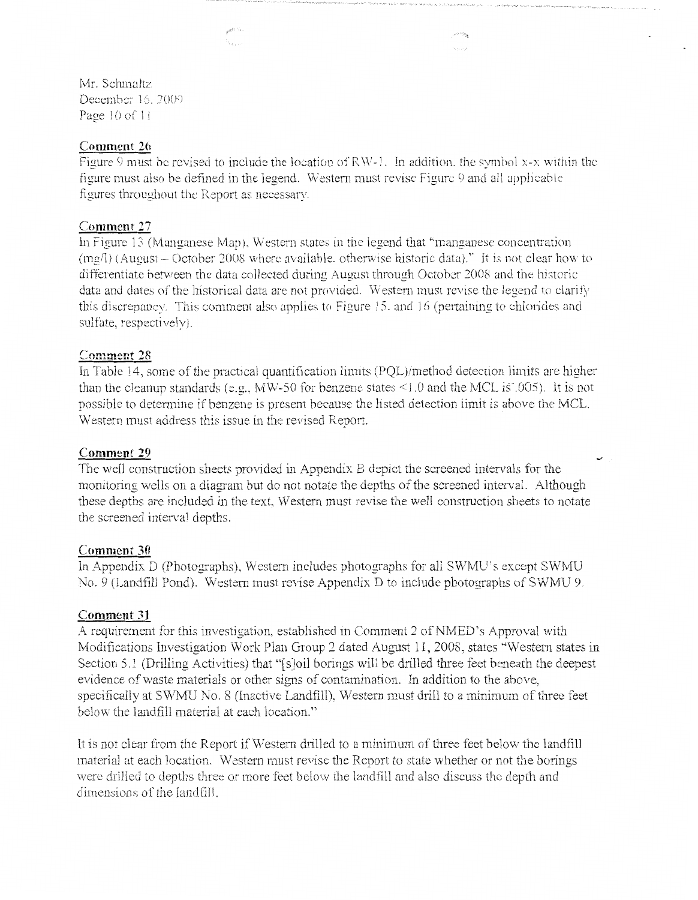Mr. Schmaltz December 16, 2009 Page 10 of 11

### **Comment 26**

Figure 9 must be revised to include the location of RW-1. In addition, the symbol x-x within the figure must also be defined in the legend. Western must revise Figure 9 and all applicable figures throughout the Report as necessary.

.<br>Germany

#### **Comment 27**

In Figure 13 (Manganese Map), Western states in the legend that "manganese concentration  $(mg/1)$  (August – October 2008 where available, otherwise historic data)." It is not clear how to differentiate between the data collected during August through October 2008 and the historic data and dates of the historical data are not provided. Western must revise the legend to clarify this discrepancy. This comment also applies to Figure 15. and 16 (pertaining to chlorides and sulfate, respectively).

#### **Comment 28**

In Table 14, some of the practical quantification limits (PQL)/method detection limits are higher than the cleanup standards (e.g., MW-50 for benzene states  $\leq 1.0$  and the MCL is  $\cdot$ , 005). It is not possible to determine if benzene is present because the listed detection iimit is above the MCL 'N estern must address this issue in the revised Report.

#### **Comment 29**

The well construction sheets provided in Appendix B depict the screened intervals for the monitoring wells on a diagram but do not notate the depths of the screened interval. Although these depths are included in the text, Western must revise the well construction sheets to notate the screened interval depths.

#### **Comment 30**

In Appendix D (Photographs), Western includes photographs for all SWMU's except SWMU No. 9 (Landfill Pond). Western must revise Appendix D to include photographs of SWMU *9.* 

#### **Comment 31**

A requirement for this investigation, established in Comment 2 of NMED's Approval with Modifications Investigation Work Plan Group 2 dated August 11, 2008, states "Western states in Section 5.1 (Drilling Activities) that "[s]oil borings will be drilled three feet beneath the deepest evidence of waste materials or other signs of contamination. In addition to the above, specifically at SWMU No. 8 (Inactive Landfill), Western must drill to a minimum of three feet below the landfill material at each location."

It is not clear from the Report if Western drilled to a minimum of three feet below the landfill material at each location. Western must revise the Report to state whether or not the borings were drilled to depths three or more feet below the landfill and also discuss the depth and dimensions of the landfill.